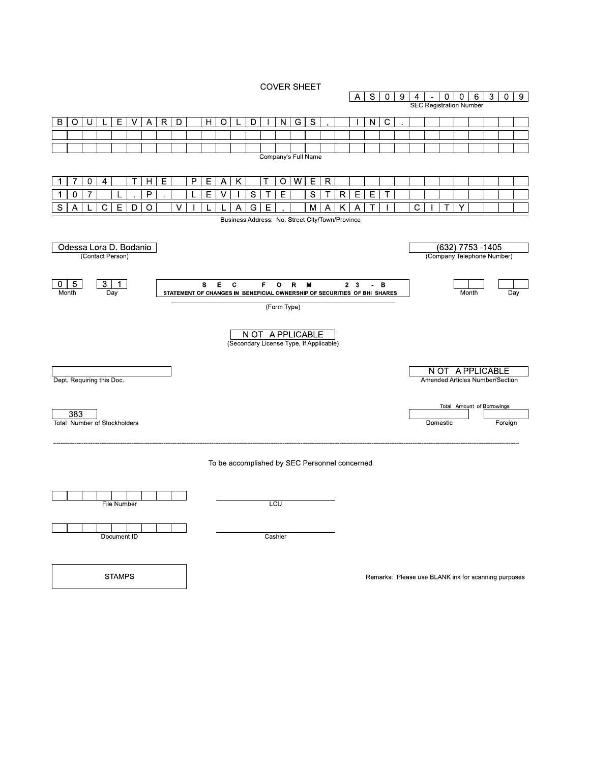**COVER SHEET** 



**STAMPS** 

Remarks: Please use BLANK ink for scanning purposes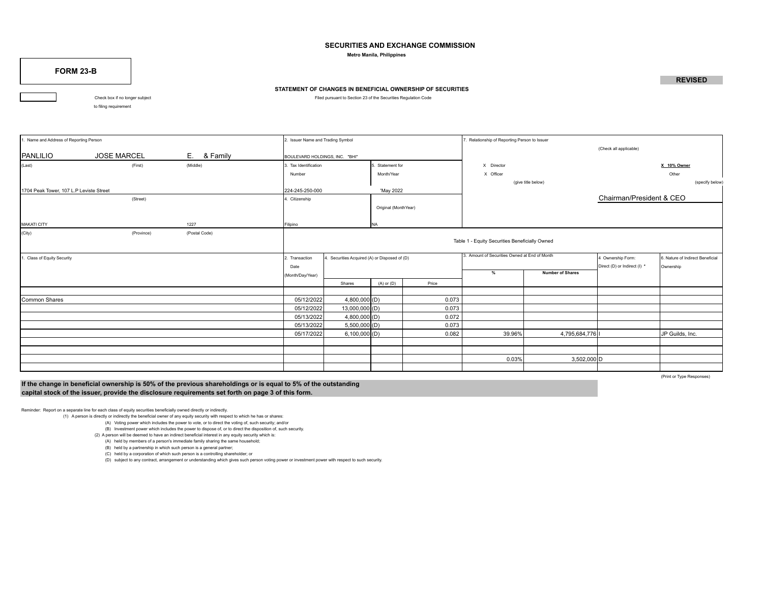# **SECURITIES AND EXCHANGE COMMISSION**

 **Metro Manila, Philippines**

**FORM 23-B**

### **STATEMENT OF CHANGES IN BENEFICIAL OWNERSHIP OF SECURITIES**

Check box if no longer subject **Filed pursuant to Section 23 of the Securities Regulation Code** 

to filing requirement

# Name and Address of Reporting Person to Issuer Name and Trading Symbol 2. Issuer Name and Trading Symbol 7. Relationship of Reporting Person to Issuer (Check all applicable) PANLILIO JOSE MARCEL E. & Family BOULEVARD HOLDINGS, INC. "BHI" (Last) (First) (Middle) 3. Tax Identification 5. Statement for X Director **X 10% Owner** Number **Number Number Number Number Number Number Number Number Number Number Number Other Other** Other (give title below) (specify below) 1704 Peak Tower, 107 L.P Leviste Street 224-245-250-000 'May 2022 (Street) **A.** Citizenship Chairman/President & CEO Original (MonthYear) MAKATI CITY 1227 Filipino NA (City) (Province) (Postal Code) Table 1 - Equity Securities Beneficially Owned 2. Transaction 4. Securities Acquired (A) or Disposed of (D) 3. Amount of Securities Owned at End of Month 4 Ownership Form: 6. Nature of Indirect Beneficial Date **Direct (I) \*** Ownership **Direct (I) \*** Ownership (Month/Day/Year) **% Number of Shares** Shares (A) or (D) Price Common Shares 05/12/2022 4,800,000 (D) 0.073 05/12/2022 13,000,000 (D) 0.073 05/13/2022 4,800,000 (D) 0.072 05/13/2022 5,500,000 (D) 0.073 05/17/2022 6,100,000|(D) 0.082 | 39.96%| 4,795,684,776|I 0.03% 3,502,000 D 3. Amount of Securities Owned at End of Month

**If the change in beneficial ownership is 50% of the previous shareholdings or is equal to 5% of the outstanding capital stock of the issuer, provide the disclosure requirements set forth on page 3 of this form.**

(Print or Type Responses)

Reminder: Report on a separate line for each class of equity securities beneficially owned directly or indirectly.

(1) A person is directly or indirectly the beneficial owner of any equity security with respect to which he has or shares:

(A) Voting power which includes the power to vote, or to direct the voting of, such security; and/or

(B) Investment power which includes the power to dispose of, or to direct the disposition of, such security.

- (2) A person will be deemed to have an indirect beneficial interest in any equity security which is:
	- (A) held by members of a person's immediate family sharing the same household;
	- (B) held by a partnership in which such person is a general partner;
	- (C) held by a corporation of which such person is a controlling shareholder; or

(D) subject to any contract, arrangement or understanding which gives such person voting power or investment power with respect to such security.

**REVISED**